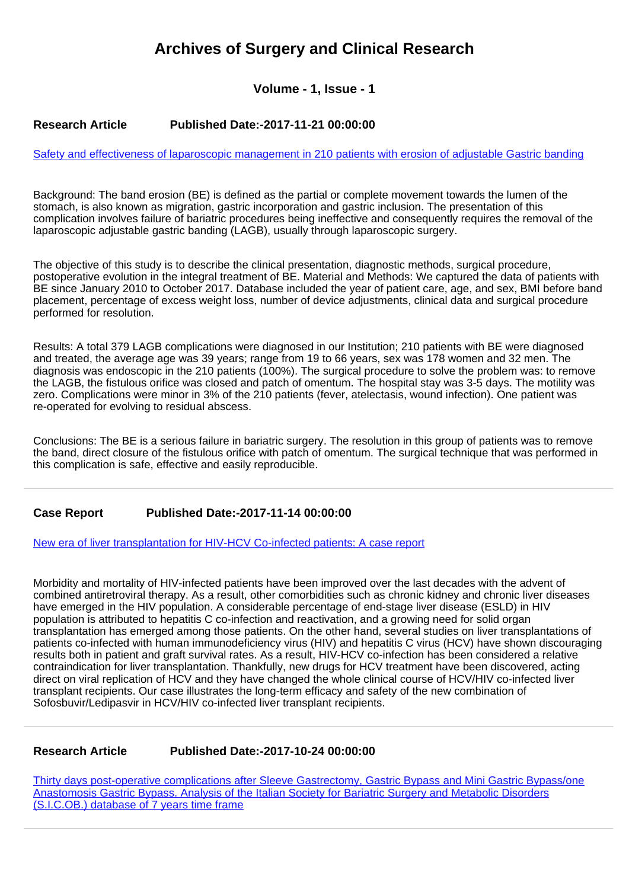# **Archives of Surgery and Clinical Research**

## **Volume - 1, Issue - 1**

## **Research Article Published Date:-2017-11-21 00:00:00**

[Safety and effectiveness of laparoscopic management in 210 patients with erosion of adjustable Gastric banding](https://www.clinsurgeryjournal.com/articles/ascr-aid1013.pdf)

Background: The band erosion (BE) is defined as the partial or complete movement towards the lumen of the stomach, is also known as migration, gastric incorporation and gastric inclusion. The presentation of this complication involves failure of bariatric procedures being ineffective and consequently requires the removal of the laparoscopic adjustable gastric banding (LAGB), usually through laparoscopic surgery.

The objective of this study is to describe the clinical presentation, diagnostic methods, surgical procedure, postoperative evolution in the integral treatment of BE. Material and Methods: We captured the data of patients with BE since January 2010 to October 2017. Database included the year of patient care, age, and sex, BMI before band placement, percentage of excess weight loss, number of device adjustments, clinical data and surgical procedure performed for resolution.

Results: A total 379 LAGB complications were diagnosed in our Institution; 210 patients with BE were diagnosed and treated, the average age was 39 years; range from 19 to 66 years, sex was 178 women and 32 men. The diagnosis was endoscopic in the 210 patients (100%). The surgical procedure to solve the problem was: to remove the LAGB, the fistulous orifice was closed and patch of omentum. The hospital stay was 3-5 days. The motility was zero. Complications were minor in 3% of the 210 patients (fever, atelectasis, wound infection). One patient was re-operated for evolving to residual abscess.

Conclusions: The BE is a serious failure in bariatric surgery. The resolution in this group of patients was to remove the band, direct closure of the fistulous orifice with patch of omentum. The surgical technique that was performed in this complication is safe, effective and easily reproducible.

## **Case Report Published Date:-2017-11-14 00:00:00**

[New era of liver transplantation for HIV-HCV Co-infected patients: A case report](https://www.clinsurgeryjournal.com/articles/ascr-aid1012.pdf)

Morbidity and mortality of HIV-infected patients have been improved over the last decades with the advent of combined antiretroviral therapy. As a result, other comorbidities such as chronic kidney and chronic liver diseases have emerged in the HIV population. A considerable percentage of end-stage liver disease (ESLD) in HIV population is attributed to hepatitis C co-infection and reactivation, and a growing need for solid organ transplantation has emerged among those patients. On the other hand, several studies on liver transplantations of patients co-infected with human immunodeficiency virus (HIV) and hepatitis C virus (HCV) have shown discouraging results both in patient and graft survival rates. As a result, HIV-HCV co-infection has been considered a relative contraindication for liver transplantation. Thankfully, new drugs for HCV treatment have been discovered, acting direct on viral replication of HCV and they have changed the whole clinical course of HCV/HIV co-infected liver transplant recipients. Our case illustrates the long-term efficacy and safety of the new combination of Sofosbuvir/Ledipasvir in HCV/HIV co-infected liver transplant recipients.

#### **Research Article Published Date:-2017-10-24 00:00:00**

[Thirty days post-operative complications after Sleeve Gastrectomy, Gastric Bypass and Mini Gastric Bypass/one](https://www.clinsurgeryjournal.com/articles/ascr-aid1011.pdf) [Anastomosis Gastric Bypass. Analysis of the Italian Society for Bariatric Surgery and Metabolic Disorders](https://www.clinsurgeryjournal.com/articles/ascr-aid1011.pdf) [\(S.I.C.OB.\) database of 7 years time frame](https://www.clinsurgeryjournal.com/articles/ascr-aid1011.pdf)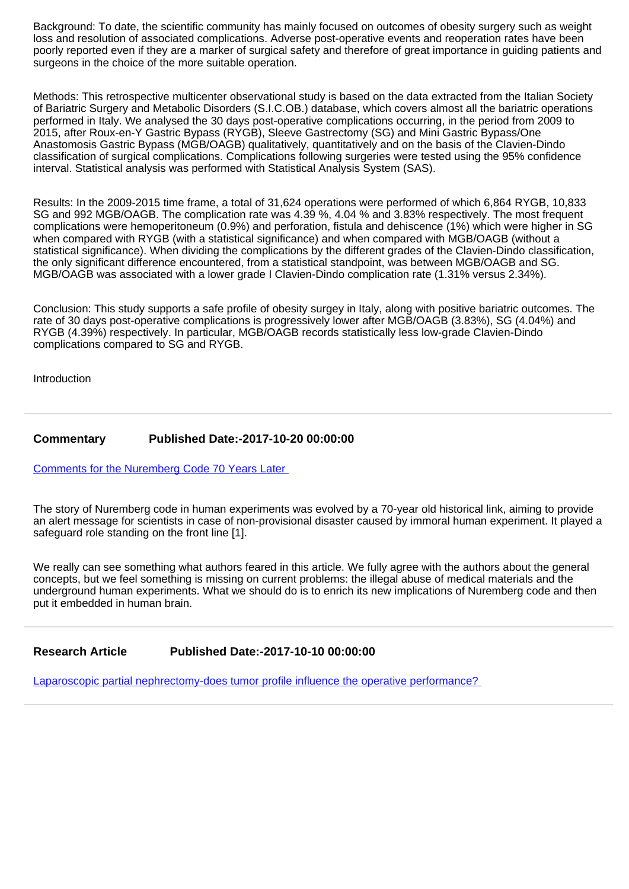Background: To date, the scientific community has mainly focused on outcomes of obesity surgery such as weight loss and resolution of associated complications. Adverse post-operative events and reoperation rates have been poorly reported even if they are a marker of surgical safety and therefore of great importance in guiding patients and surgeons in the choice of the more suitable operation.

Methods: This retrospective multicenter observational study is based on the data extracted from the Italian Society of Bariatric Surgery and Metabolic Disorders (S.I.C.OB.) database, which covers almost all the bariatric operations performed in Italy. We analysed the 30 days post-operative complications occurring, in the period from 2009 to 2015, after Roux-en-Y Gastric Bypass (RYGB), Sleeve Gastrectomy (SG) and Mini Gastric Bypass/One Anastomosis Gastric Bypass (MGB/OAGB) qualitatively, quantitatively and on the basis of the Clavien-Dindo classification of surgical complications. Complications following surgeries were tested using the 95% confidence interval. Statistical analysis was performed with Statistical Analysis System (SAS).

Results: In the 2009-2015 time frame, a total of 31,624 operations were performed of which 6,864 RYGB, 10,833 SG and 992 MGB/OAGB. The complication rate was 4.39 %, 4.04 % and 3.83% respectively. The most frequent complications were hemoperitoneum (0.9%) and perforation, fistula and dehiscence (1%) which were higher in SG when compared with RYGB (with a statistical significance) and when compared with MGB/OAGB (without a statistical significance). When dividing the complications by the different grades of the Clavien-Dindo classification, the only significant difference encountered, from a statistical standpoint, was between MGB/OAGB and SG. MGB/OAGB was associated with a lower grade I Clavien-Dindo complication rate (1.31% versus 2.34%).

Conclusion: This study supports a safe profile of obesity surgey in Italy, along with positive bariatric outcomes. The rate of 30 days post-operative complications is progressively lower after MGB/OAGB (3.83%), SG (4.04%) and RYGB (4.39%) respectively. In particular, MGB/OAGB records statistically less low-grade Clavien-Dindo complications compared to SG and RYGB.

Introduction

#### **Commentary Published Date:-2017-10-20 00:00:00**

[Comments for the Nuremberg Code 70 Years Later](https://www.clinsurgeryjournal.com/articles/ascr-aid1010.pdf) 

The story of Nuremberg code in human experiments was evolved by a 70-year old historical link, aiming to provide an alert message for scientists in case of non-provisional disaster caused by immoral human experiment. It played a safeguard role standing on the front line [1].

We really can see something what authors feared in this article. We fully agree with the authors about the general concepts, but we feel something is missing on current problems: the illegal abuse of medical materials and the underground human experiments. What we should do is to enrich its new implications of Nuremberg code and then put it embedded in human brain.

**Research Article Published Date:-2017-10-10 00:00:00**

[Laparoscopic partial nephrectomy-does tumor profile influence the operative performance?](https://www.clinsurgeryjournal.com/articles/ascr-aid1009.pdf)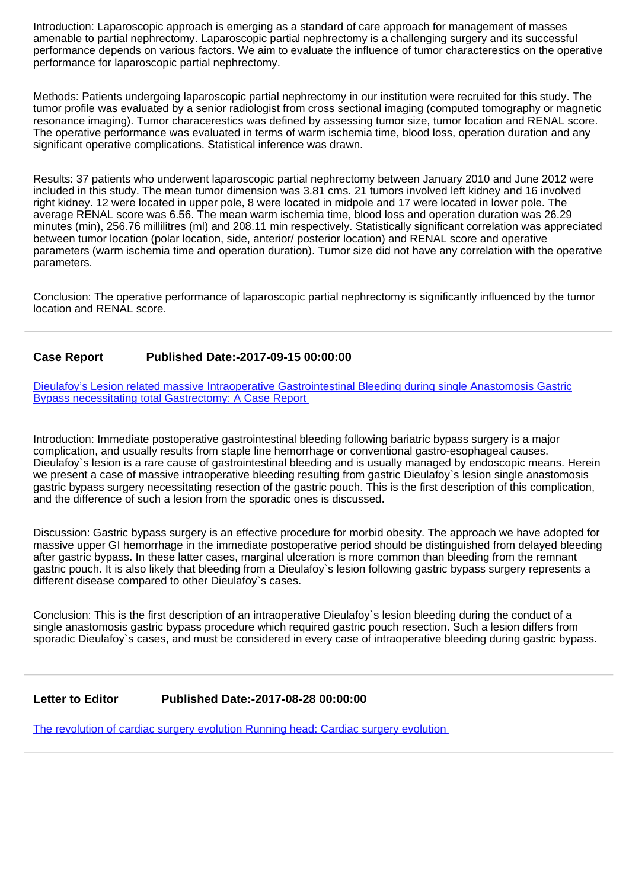Introduction: Laparoscopic approach is emerging as a standard of care approach for management of masses amenable to partial nephrectomy. Laparoscopic partial nephrectomy is a challenging surgery and its successful performance depends on various factors. We aim to evaluate the influence of tumor characterestics on the operative performance for laparoscopic partial nephrectomy.

Methods: Patients undergoing laparoscopic partial nephrectomy in our institution were recruited for this study. The tumor profile was evaluated by a senior radiologist from cross sectional imaging (computed tomography or magnetic resonance imaging). Tumor characerestics was defined by assessing tumor size, tumor location and RENAL score. The operative performance was evaluated in terms of warm ischemia time, blood loss, operation duration and any significant operative complications. Statistical inference was drawn.

Results: 37 patients who underwent laparoscopic partial nephrectomy between January 2010 and June 2012 were included in this study. The mean tumor dimension was 3.81 cms. 21 tumors involved left kidney and 16 involved right kidney. 12 were located in upper pole, 8 were located in midpole and 17 were located in lower pole. The average RENAL score was 6.56. The mean warm ischemia time, blood loss and operation duration was 26.29 minutes (min), 256.76 millilitres (ml) and 208.11 min respectively. Statistically significant correlation was appreciated between tumor location (polar location, side, anterior/ posterior location) and RENAL score and operative parameters (warm ischemia time and operation duration). Tumor size did not have any correlation with the operative parameters.

Conclusion: The operative performance of laparoscopic partial nephrectomy is significantly influenced by the tumor location and RENAL score.

## **Case Report Published Date:-2017-09-15 00:00:00**

[Dieulafoy's Lesion related massive Intraoperative Gastrointestinal Bleeding during single Anastomosis Gastric](https://www.clinsurgeryjournal.com/articles/ascr-aid1008.pdf) Bypass necessitating total Gastrectomy: A Case Report

Introduction: Immediate postoperative gastrointestinal bleeding following bariatric bypass surgery is a major complication, and usually results from staple line hemorrhage or conventional gastro-esophageal causes. Dieulafoy`s lesion is a rare cause of gastrointestinal bleeding and is usually managed by endoscopic means. Herein we present a case of massive intraoperative bleeding resulting from gastric Dieulafoy`s lesion single anastomosis gastric bypass surgery necessitating resection of the gastric pouch. This is the first description of this complication, and the difference of such a lesion from the sporadic ones is discussed.

Discussion: Gastric bypass surgery is an effective procedure for morbid obesity. The approach we have adopted for massive upper GI hemorrhage in the immediate postoperative period should be distinguished from delayed bleeding after gastric bypass. In these latter cases, marginal ulceration is more common than bleeding from the remnant gastric pouch. It is also likely that bleeding from a Dieulafoy`s lesion following gastric bypass surgery represents a different disease compared to other Dieulafoy`s cases.

Conclusion: This is the first description of an intraoperative Dieulafoy`s lesion bleeding during the conduct of a single anastomosis gastric bypass procedure which required gastric pouch resection. Such a lesion differs from sporadic Dieulafoy`s cases, and must be considered in every case of intraoperative bleeding during gastric bypass.

## **Letter to Editor Published Date:-2017-08-28 00:00:00**

[The revolution of cardiac surgery evolution Running head: Cardiac surgery evolution](https://www.clinsurgeryjournal.com/articles/ascr-aid1007.pdf)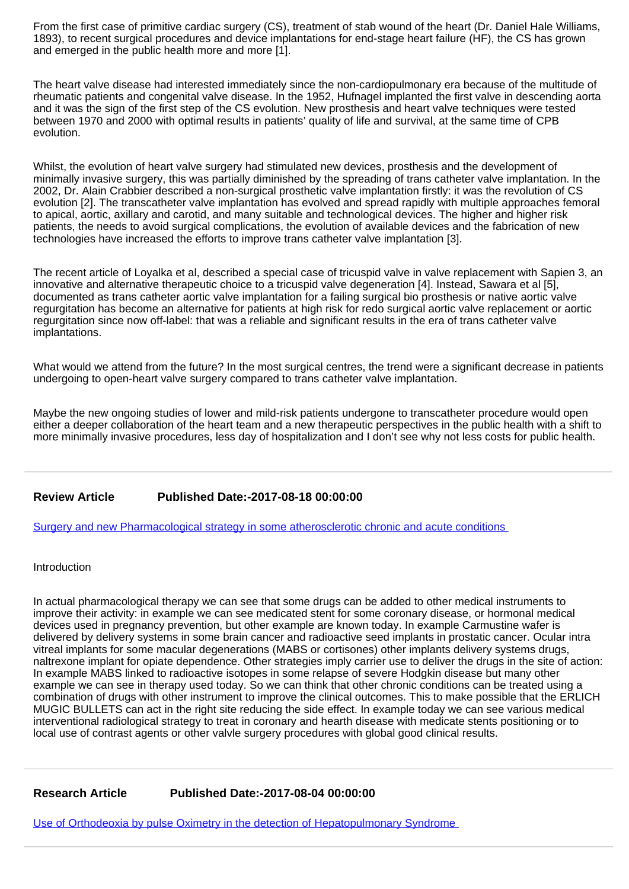From the first case of primitive cardiac surgery (CS), treatment of stab wound of the heart (Dr. Daniel Hale Williams, 1893), to recent surgical procedures and device implantations for end-stage heart failure (HF), the CS has grown and emerged in the public health more and more [1].

The heart valve disease had interested immediately since the non-cardiopulmonary era because of the multitude of rheumatic patients and congenital valve disease. In the 1952, Hufnagel implanted the first valve in descending aorta and it was the sign of the first step of the CS evolution. New prosthesis and heart valve techniques were tested between 1970 and 2000 with optimal results in patients' quality of life and survival, at the same time of CPB evolution.

Whilst, the evolution of heart valve surgery had stimulated new devices, prosthesis and the development of minimally invasive surgery, this was partially diminished by the spreading of trans catheter valve implantation. In the 2002, Dr. Alain Crabbier described a non-surgical prosthetic valve implantation firstly: it was the revolution of CS evolution [2]. The transcatheter valve implantation has evolved and spread rapidly with multiple approaches femoral to apical, aortic, axillary and carotid, and many suitable and technological devices. The higher and higher risk patients, the needs to avoid surgical complications, the evolution of available devices and the fabrication of new technologies have increased the efforts to improve trans catheter valve implantation [3].

The recent article of Loyalka et al, described a special case of tricuspid valve in valve replacement with Sapien 3, an innovative and alternative therapeutic choice to a tricuspid valve degeneration [4]. Instead, Sawara et al [5], documented as trans catheter aortic valve implantation for a failing surgical bio prosthesis or native aortic valve regurgitation has become an alternative for patients at high risk for redo surgical aortic valve replacement or aortic regurgitation since now off-label: that was a reliable and significant results in the era of trans catheter valve implantations.

What would we attend from the future? In the most surgical centres, the trend were a significant decrease in patients undergoing to open-heart valve surgery compared to trans catheter valve implantation.

Maybe the new ongoing studies of lower and mild-risk patients undergone to transcatheter procedure would open either a deeper collaboration of the heart team and a new therapeutic perspectives in the public health with a shift to more minimally invasive procedures, less day of hospitalization and I don't see why not less costs for public health.

## **Review Article Published Date:-2017-08-18 00:00:00**

[Surgery and new Pharmacological strategy in some atherosclerotic chronic and acute conditions](https://www.clinsurgeryjournal.com/articles/ascr-aid1006.pdf) 

Introduction

In actual pharmacological therapy we can see that some drugs can be added to other medical instruments to improve their activity: in example we can see medicated stent for some coronary disease, or hormonal medical devices used in pregnancy prevention, but other example are known today. In example Carmustine wafer is delivered by delivery systems in some brain cancer and radioactive seed implants in prostatic cancer. Ocular intra vitreal implants for some macular degenerations (MABS or cortisones) other implants delivery systems drugs, naltrexone implant for opiate dependence. Other strategies imply carrier use to deliver the drugs in the site of action: In example MABS linked to radioactive isotopes in some relapse of severe Hodgkin disease but many other example we can see in therapy used today. So we can think that other chronic conditions can be treated using a combination of drugs with other instrument to improve the clinical outcomes. This to make possible that the ERLICH MUGIC BULLETS can act in the right site reducing the side effect. In example today we can see various medical interventional radiological strategy to treat in coronary and hearth disease with medicate stents positioning or to local use of contrast agents or other valvle surgery procedures with global good clinical results.

**Research Article Published Date:-2017-08-04 00:00:00**

[Use of Orthodeoxia by pulse Oximetry in the detection of Hepatopulmonary Syndrome](https://www.clinsurgeryjournal.com/articles/ascr-aid1005.pdf)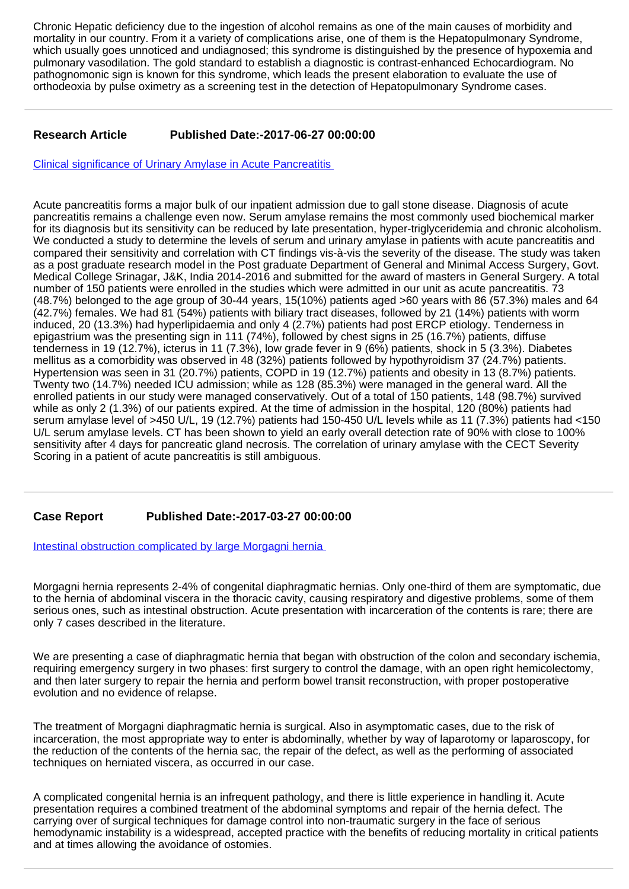Chronic Hepatic deficiency due to the ingestion of alcohol remains as one of the main causes of morbidity and mortality in our country. From it a variety of complications arise, one of them is the Hepatopulmonary Syndrome, which usually goes unnoticed and undiagnosed; this syndrome is distinguished by the presence of hypoxemia and pulmonary vasodilation. The gold standard to establish a diagnostic is contrast-enhanced Echocardiogram. No pathognomonic sign is known for this syndrome, which leads the present elaboration to evaluate the use of orthodeoxia by pulse oximetry as a screening test in the detection of Hepatopulmonary Syndrome cases.

## **Research Article Published Date:-2017-06-27 00:00:00**

[Clinical significance of Urinary Amylase in Acute Pancreatitis](https://www.clinsurgeryjournal.com/articles/ascr-aid1004.pdf) 

Acute pancreatitis forms a major bulk of our inpatient admission due to gall stone disease. Diagnosis of acute pancreatitis remains a challenge even now. Serum amylase remains the most commonly used biochemical marker for its diagnosis but its sensitivity can be reduced by late presentation, hyper-triglyceridemia and chronic alcoholism. We conducted a study to determine the levels of serum and urinary amylase in patients with acute pancreatitis and compared their sensitivity and correlation with CT findings vis-à-vis the severity of the disease. The study was taken as a post graduate research model in the Post graduate Department of General and Minimal Access Surgery, Govt. Medical College Srinagar, J&K, India 2014-2016 and submitted for the award of masters in General Surgery. A total number of 150 patients were enrolled in the studies which were admitted in our unit as acute pancreatitis. 73 (48.7%) belonged to the age group of 30-44 years, 15(10%) patients aged >60 years with 86 (57.3%) males and 64 (42.7%) females. We had 81 (54%) patients with biliary tract diseases, followed by 21 (14%) patients with worm induced, 20 (13.3%) had hyperlipidaemia and only 4 (2.7%) patients had post ERCP etiology. Tenderness in epigastrium was the presenting sign in 111 (74%), followed by chest signs in 25 (16.7%) patients, diffuse tenderness in 19 (12.7%), icterus in 11 (7.3%), low grade fever in 9 (6%) patients, shock in 5 (3.3%). Diabetes mellitus as a comorbidity was observed in 48 (32%) patients followed by hypothyroidism 37 (24.7%) patients. Hypertension was seen in 31 (20.7%) patients, COPD in 19 (12.7%) patients and obesity in 13 (8.7%) patients. Twenty two (14.7%) needed ICU admission; while as 128 (85.3%) were managed in the general ward. All the enrolled patients in our study were managed conservatively. Out of a total of 150 patients, 148 (98.7%) survived while as only 2 (1.3%) of our patients expired. At the time of admission in the hospital, 120 (80%) patients had serum amylase level of >450 U/L, 19 (12.7%) patients had 150-450 U/L levels while as 11 (7.3%) patients had <150 U/L serum amylase levels. CT has been shown to yield an early overall detection rate of 90% with close to 100% sensitivity after 4 days for pancreatic gland necrosis. The correlation of urinary amylase with the CECT Severity Scoring in a patient of acute pancreatitis is still ambiguous.

# **Case Report Published Date:-2017-03-27 00:00:00**

Intestinal obstruction complicated by large Morgagni hernia

Morgagni hernia represents 2-4% of congenital diaphragmatic hernias. Only one-third of them are symptomatic, due to the hernia of abdominal viscera in the thoracic cavity, causing respiratory and digestive problems, some of them serious ones, such as intestinal obstruction. Acute presentation with incarceration of the contents is rare; there are only 7 cases described in the literature.

We are presenting a case of diaphragmatic hernia that began with obstruction of the colon and secondary ischemia, requiring emergency surgery in two phases: first surgery to control the damage, with an open right hemicolectomy, and then later surgery to repair the hernia and perform bowel transit reconstruction, with proper postoperative evolution and no evidence of relapse.

The treatment of Morgagni diaphragmatic hernia is surgical. Also in asymptomatic cases, due to the risk of incarceration, the most appropriate way to enter is abdominally, whether by way of laparotomy or laparoscopy, for the reduction of the contents of the hernia sac, the repair of the defect, as well as the performing of associated techniques on herniated viscera, as occurred in our case.

A complicated congenital hernia is an infrequent pathology, and there is little experience in handling it. Acute presentation requires a combined treatment of the abdominal symptoms and repair of the hernia defect. The carrying over of surgical techniques for damage control into non-traumatic surgery in the face of serious hemodynamic instability is a widespread, accepted practice with the benefits of reducing mortality in critical patients and at times allowing the avoidance of ostomies.